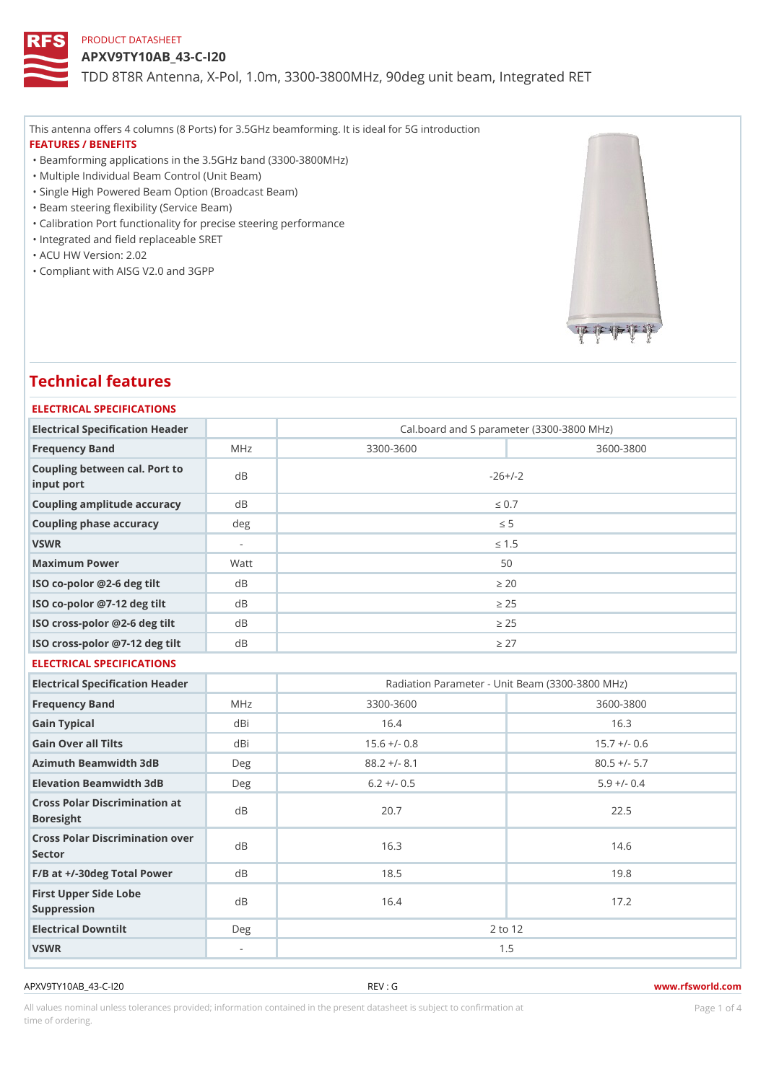APXV9TY10AB\_43-C-I20

TDD 8T8R Antenna, X-Pol, 1.0m, 3300-3800MHz, 90deg unit beam, Inte

This antenna offers 4 columns (8 Ports) for 3.5GHz beamforming. It is ideal for 5G introduction FEATURES / BENEFITS

"Beamforming applications in the 3.5GHz band (3300-3800MHz)

"Multiple Individual Beam Control (Unit Beam)

- "Single High Powered Beam Option (Broadcast Beam)
- "Beam steering flexibility (Service Beam)

"Calibration Port functionality for precise steering performance

- "Integrated and field replaceable SRET
- "ACU HW Version: 2.02

"Compliant with AISG V2.0 and 3GPP

# Technical features

#### ELECTRICAL SPECIFICATIONS

| Electrical Specification Header             |      |           | Cal.board and S parameter (3300-3800 MHz) |
|---------------------------------------------|------|-----------|-------------------------------------------|
| Frequency Band                              | MHz  | 3300-3600 | 3600-3800                                 |
| Coupling between cal. Port to<br>input port |      |           | $-26+/-2$                                 |
| Coupling amplitude accuracydB               |      |           | "d 0.7                                    |
| Coupling phase accuracy                     | deq  |           | "d $5$                                    |
| VSWR                                        | ٠    |           | "d 1.5                                    |
| Maximum Power                               | Watt |           | 50                                        |
| ISO co-polor @2-6 deg tilt dB               |      |           | " $e$ 20                                  |
| ISO co-polor @7-12 deg tiltdB               |      |           | "e 25                                     |
| ISO cross-polor @2-6 deg tidtB              |      |           | "e 25                                     |
| ISO cross-polor @7-12 deg diBt              |      |           | "e 27                                     |

#### ELECTRICAL SPECIFICATIONS

| Electrical Specification Header                   |     |                | Radiation Parameter - Unit Beam (3300-3800 MHz) |
|---------------------------------------------------|-----|----------------|-------------------------------------------------|
| Frequency Band                                    | MHz | $3300 - 3600$  | 3600-3800                                       |
| Gain Typical                                      | dBi | 16.4           | 16.3                                            |
| Gain Over all Tilts                               | dBi | $15.6$ +/- 0.8 | $15.7 +/- 0.6$                                  |
| Azimuth Beamwidth 3dB                             | Deg | $88.2 +/- 8.1$ | $80.5 +/- 5.7$                                  |
| Elevation Beamwidth 3dB                           | Deg | $6.2 +/- 0.5$  | $5.9 +/- 0.4$                                   |
| Cross Polar Discrimination at<br><b>Boresight</b> |     | 20.7           | 22.5                                            |
| Cross Polar Discrimination over<br>Sector         |     | 16.3           | 14.6                                            |
| $F/B$ at $+/-30$ deg Total Powerd B               |     | 18.5           | 19.8                                            |
| First Upper Side Lobe<br>Suppression              | d B | 16.4           | 17.2                                            |
| Electrical Downtilt                               | Deg | 2 to 12        |                                                 |
| VSWR                                              | ۰.  | 1.5            |                                                 |

APXV9TY10AB\_43-C-I20 REV : G www.rfsworld.com

All values nominal unless tolerances provided; information contained in the present datasheet is subject to Pcaogneion finaltion time of ordering.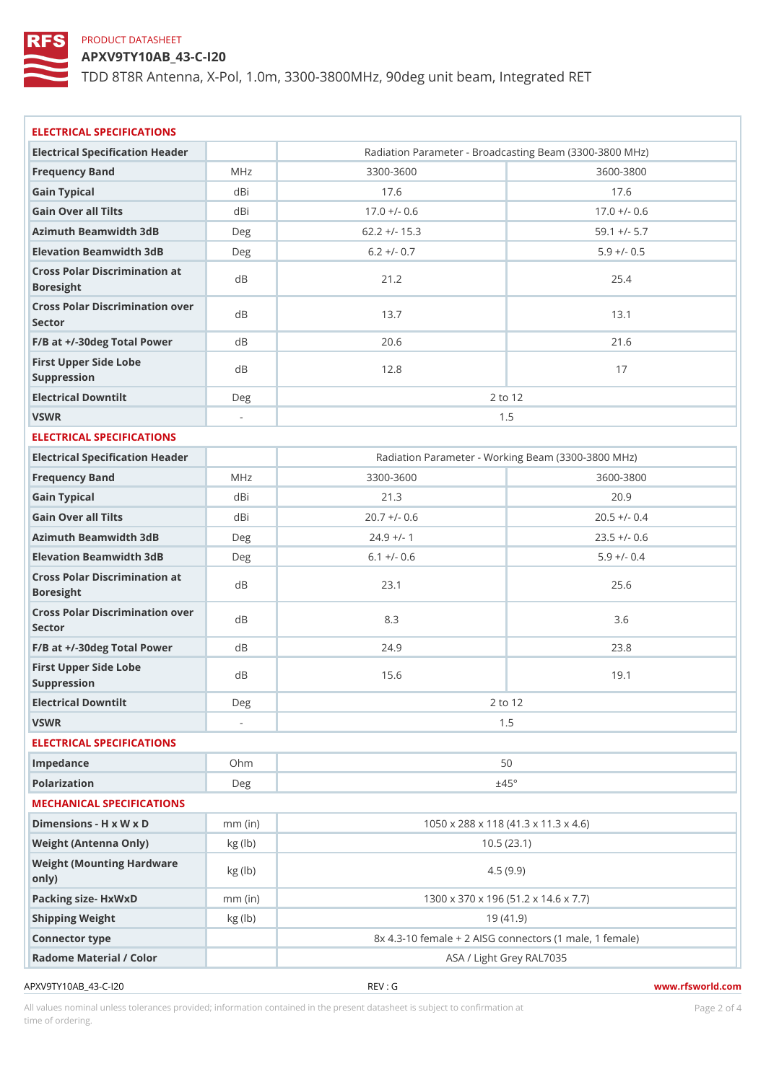APXV9TY10AB\_43-C-I20

TDD 8T8R Antenna, X-Pol, 1.0m, 3300-3800MHz, 90deg unit beam, Inte

| ELECTRICAL SPECIFICATIONS                  |           |                                                     |                                                    |
|--------------------------------------------|-----------|-----------------------------------------------------|----------------------------------------------------|
| Electrical Specification Header            |           |                                                     | Radiation Parameter - Broadcasting Beam (3300-3800 |
| Frequency Band                             | MHz       | 3300-3600                                           | 3600-3800                                          |
| Gain Typical                               | dBi       | 17.6                                                | 17.6                                               |
| Gain Over all Tilts                        | dBi       | $17.0 +/- 0.6$                                      | $17.0 +/- 0.6$                                     |
| Azimuth Beamwidth 3dB                      | Deg       | $62.2 +/- 15.3$                                     | $59.1 +/- 5.7$                                     |
| Elevation Beamwidth 3dB                    | Deg       | $6.2 +/- 0.7$                                       | $5.9$ +/- 0.5                                      |
| Cross Polar Discrimination at<br>Boresight |           | $21.2$                                              | 25.4                                               |
| Cross Polar Discrimination over<br>Sector  |           | 13.7                                                | 13.1                                               |
| F/B at +/-30deg Total PowerdB              |           | 20.6                                                | 21.6                                               |
| First Upper Side Lobe<br>Suppression       | d B       | 12.8                                                | 17                                                 |
| Electrical Downtilt                        | Deg       | 2 to 12                                             |                                                    |
| VSWR                                       | $\sim$    |                                                     | 1.5                                                |
| ELECTRICAL SPECIFICATIONS                  |           |                                                     |                                                    |
| Electrical Specification Header            |           | Radiation Parameter - Working Beam (3300-3800 MHz   |                                                    |
| Frequency Band                             | M H z     | 3300-3600                                           | 3600-3800                                          |
| Gain Typical                               | dBi       | 21.3                                                | 20.9                                               |
| Gain Over all Tilts                        | dBi       | $20.7$ +/- 0.6                                      | $20.5$ +/- 0.4                                     |
| Azimuth Beamwidth 3dB                      | Deg       | $24.9$ +/- 1                                        | $23.5 +/- 0.6$                                     |
| Elevation Beamwidth 3dB                    | Deg       | $6.1 +/- 0.6$                                       | $5.9 +/- 0.4$                                      |
| Cross Polar Discrimination at<br>Boresight |           | 23.1                                                | $2.5.6$                                            |
| Cross Polar Discrimination over<br>Sector  |           | $8.3\,$                                             | 3.6                                                |
| $F/B$ at $+/-30$ deg Total Powerd B        |           | 24.9                                                | 23.8                                               |
| First Upper Side Lobe<br>Suppression       | d B       | 15.6                                                | 19.1                                               |
| Electrical Downtilt                        | Deg       |                                                     | 2 to 12                                            |
| VSWR                                       |           | 1.5                                                 |                                                    |
| ELECTRICAL SPECIFICATIONS                  |           |                                                     |                                                    |
| Impedance                                  | Ohm       | 50                                                  |                                                    |
| Polarization                               | Deg       | ±45°                                                |                                                    |
| MECHANICAL SPECIFICATIONS                  |           |                                                     |                                                    |
| Dimensions - H x W x D                     | $mm$ (in) |                                                     | 1050 x 288 x 118 (41.3 x 11.3 x 4.6)               |
| Weight (Antenna Only)                      | kg (lb)   | 10.5(23.1)                                          |                                                    |
| Weight (Mounting Hardware kg (lb)<br>only) |           | 4.5(9.9)                                            |                                                    |
| Packing size- HxWxD                        | $mm$ (in) | 1300 x 370 x 196 (51.2 x 14.6 x 7.7)                |                                                    |
| Shipping Weight                            | kg (lb)   | 19(41.9)                                            |                                                    |
| Connector type                             |           | 8x 4.3-10 female + 2 AISG connectors (1 male, 1 fem |                                                    |
| Radome Material / Color                    |           |                                                     | ASA / Light Grey RAL7035                           |
|                                            |           |                                                     |                                                    |

All values nominal unless tolerances provided; information contained in the present datasheet is subject to Pcaognéio 21 matio time of ordering.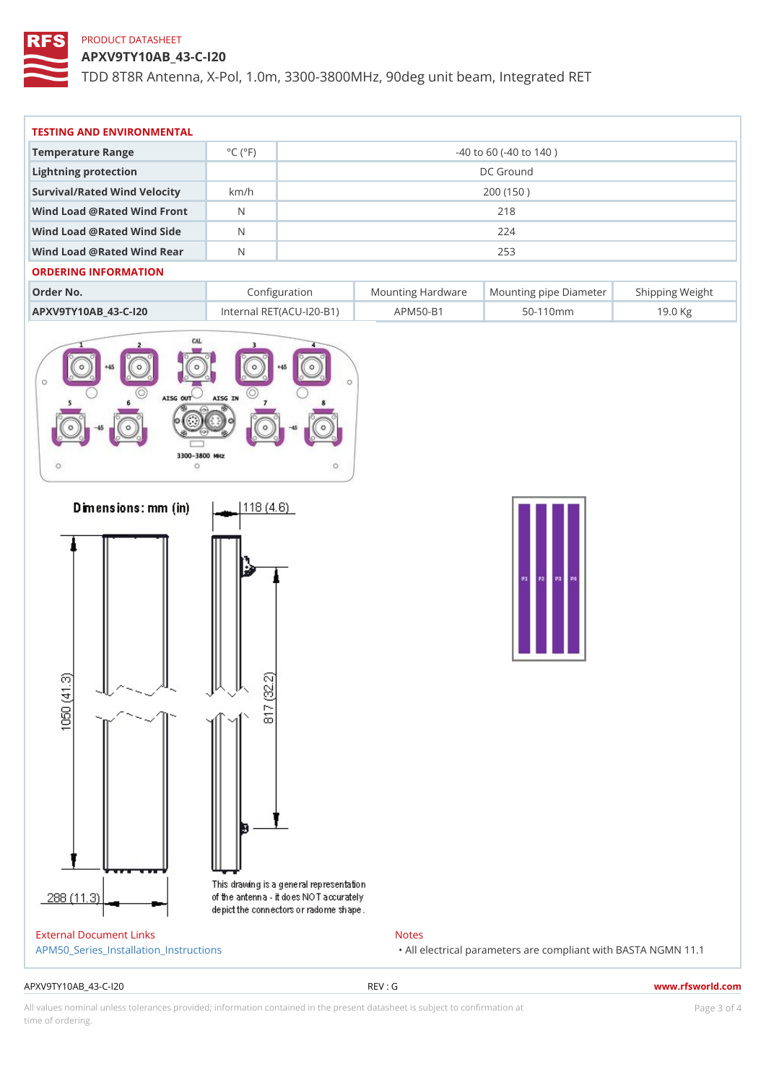APXV9TY10AB\_43-C-I20

TDD 8T8R Antenna, X-Pol, 1.0m, 3300-3800MHz, 90deg unit beam, Inte

| TESTING AND ENVIRONMENTAL      |                                     |                             |  |
|--------------------------------|-------------------------------------|-----------------------------|--|
| Temperature Range              | $^{\circ}$ C ( $^{\circ}$ F $\vert$ | $-40$ to 60 ( $-40$ to 140) |  |
| Lightning protection           |                                     | DC Ground                   |  |
| Survival/Rated Wind Velocikm/h |                                     | 200 (150)                   |  |
| Wind Load @ Rated Wind Front   |                                     | 218                         |  |
| Wind Load @ Rated Wind Sidb    |                                     | 224                         |  |
| Wind Load @ Rated Wind ReaN    |                                     | 253                         |  |

| Order No.                                           | Configuration |              | Mounting HardwaMeunting pipe DiameStheirpping Weight |
|-----------------------------------------------------|---------------|--------------|------------------------------------------------------|
| APXV9TY10AB_43-C-120 Internal RET(ACU 120-BAPM50-B1 |               | 50 - 110 m m | 19.0 Kg                                              |

| External Document Links                |  |
|----------------------------------------|--|
| APM50 Series Installation Instructions |  |

Notes "All electrical parameters are compliant with  $B\$ AS

#### APXV9TY10AB\_43-C-I20 REV : G www.rfsworld.com

All values nominal unless tolerances provided; information contained in the present datasheet is subject to PcapgéinGM attional time of ordering.